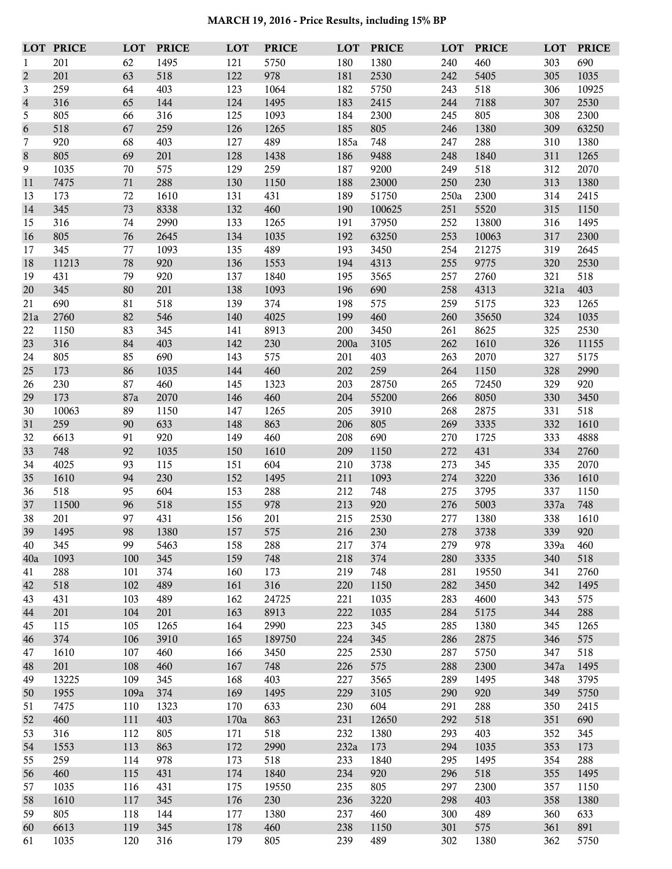**MARCH 19, 2016 - Price Results, including 15% BP**

|                | <b>LOT PRICE</b> | <b>LOT</b> | <b>PRICE</b> | LOT        | <b>PRICE</b> | LOT        | <b>PRICE</b> | LOT        | <b>PRICE</b> | <b>LOT</b> | <b>PRICE</b> |
|----------------|------------------|------------|--------------|------------|--------------|------------|--------------|------------|--------------|------------|--------------|
| 1              | 201              | 62         | 1495         | 121        | 5750         | 180        | 1380         | 240        | 460          | 303        | 690          |
| $\overline{2}$ | 201              | 63         | 518          | 122        | 978          | 181        | 2530         | 242        | 5405         | 305        | 1035         |
| 3              | 259              | 64         | 403          | 123        | 1064         | 182        | 5750         | 243        | 518          | 306        | 10925        |
| $\sqrt{4}$     | 316              | 65         | 144          | 124        | 1495         | 183        | 2415         | 244        | 7188         | 307        | 2530         |
| 5              | 805              | 66         | 316          | 125        | 1093         | 184        | 2300         | 245        | 805          | 308        | 2300         |
| 6              | 518              | 67         | 259          | 126        | 1265         | 185        | 805          | 246        | 1380         | 309        | 63250        |
| 7              | 920              | 68         | 403          | 127        | 489          | 185a       | 748          | 247        | 288          | 310        | 1380         |
| 8              | 805              | 69         | 201          | 128        | 1438         | 186        | 9488         | 248        | 1840         | 311        | 1265         |
| 9              | 1035             | 70         | 575          | 129        | 259          | 187        | 9200         | 249        | 518          | 312        | 2070         |
| 11             | 7475             | 71         | 288          | 130        | 1150         | 188        | 23000        | 250        | 230          | 313        | 1380         |
| 13             | 173              | 72         | 1610         | 131        | 431          | 189        | 51750        | 250a       | 2300         | 314        | 2415         |
| 14             | 345              | 73         | 8338         | 132        | 460          | 190        | 100625       | 251        | 5520         | 315        | 1150         |
| 15             | 316              | 74         | 2990         | 133        | 1265         | 191        | 37950        | 252        | 13800        | 316        | 1495         |
| 16             | 805              | 76         | 2645         | 134        | 1035         | 192        | 63250        | 253        | 10063        | 317        | 2300         |
| 17             | 345              | 77         | 1093         | 135        | 489          | 193        | 3450         | 254        | 21275        | 319        | 2645         |
| $18\,$         | 11213            | 78         | 920          | 136        | 1553         | 194        | 4313         | 255        | 9775         | 320        | 2530         |
| 19             | 431              | 79         | 920          | 137        | 1840         | 195        | 3565         | 257        | 2760         | 321        | 518          |
| 20             | 345              | 80         | 201          | 138        | 1093         | 196        | 690          | 258        | 4313         | 321a       | 403          |
| 21             | 690              | 81         | 518          | 139        | 374          | 198        | 575          | 259        | 5175         | 323        | 1265         |
| 21a            | 2760             | 82         | 546          | 140        | 4025         | 199        | 460          | 260        | 35650        | 324        | 1035         |
| 22<br>23       | 1150<br>316      | 83<br>84   | 345          | 141<br>142 | 8913<br>230  | 200        | 3450         | 261<br>262 | 8625         | 325        | 2530         |
|                |                  | 85         | 403          |            | 575          | 200a       | 3105         |            | 1610         | 326        | 11155        |
| 24<br>25       | 805<br>173       | 86         | 690<br>1035  | 143<br>144 | 460          | 201<br>202 | 403<br>259   | 263<br>264 | 2070<br>1150 | 327<br>328 | 5175<br>2990 |
| 26             | 230              | 87         | 460          | 145        | 1323         | 203        | 28750        | 265        | 72450        | 329        | 920          |
| 29             | 173              | 87a        | 2070         | 146        | 460          | 204        | 55200        | 266        | 8050         | 330        | 3450         |
| 30             | 10063            | 89         | 1150         | 147        | 1265         | 205        | 3910         | 268        | 2875         | 331        | 518          |
| 31             | 259              | 90         | 633          | 148        | 863          | 206        | 805          | 269        | 3335         | 332        | 1610         |
| 32             | 6613             | 91         | 920          | 149        | 460          | 208        | 690          | 270        | 1725         | 333        | 4888         |
| 33             | 748              | 92         | 1035         | 150        | 1610         | 209        | 1150         | 272        | 431          | 334        | 2760         |
| 34             | 4025             | 93         | 115          | 151        | 604          | 210        | 3738         | 273        | 345          | 335        | 2070         |
| 35             | 1610             | 94         | 230          | 152        | 1495         | 211        | 1093         | 274        | 3220         | 336        | 1610         |
| 36             | 518              | 95         | 604          | 153        | 288          | 212        | 748          | 275        | 3795         | 337        | 1150         |
| 37             | 11500            | 96         | 518          | 155        | 978          | 213        | 920          | 276        | 5003         | 337a       | 748          |
| 38             | 201              | 97         | 431          | 156        | 201          | 215        | 2530         | 277        | 1380         | 338        | 1610         |
| 39             | 1495             | 98         | 1380         | 157        | 575          | 216        | $230\,$      | 278        | 3738         | 339        | 920          |
| 40             | 345              | 99         | 5463         | 158        | 288          | 217        | 374          | 279        | 978          | 339a       | 460          |
| 40a            | 1093             | 100        | 345          | 159        | 748          | 218        | 374          | 280        | 3335         | 340        | 518          |
| 41             | 288              | 101        | 374          | 160        | 173          | 219        | 748          | 281        | 19550        | 341        | 2760         |
| 42             | 518              | 102        | 489          | 161        | 316          | 220        | 1150         | 282        | 3450         | 342        | 1495         |
| 43             | 431              | 103        | 489          | 162        | 24725        | 221        | 1035         | 283        | 4600         | 343        | 575          |
| 44             | 201              | 104        | 201          | 163        | 8913         | 222        | 1035         | 284        | 5175         | 344        | 288          |
| 45             | 115              | 105        | 1265         | 164        | 2990         | 223        | 345          | 285        | 1380         | 345        | 1265         |
| 46             | 374              | 106        | 3910         | 165        | 189750       | 224        | 345          | 286        | 2875         | 346        | 575          |
| 47             | 1610             | 107        | 460          | 166        | 3450         | 225        | 2530         | 287        | 5750         | 347        | 518          |
| 48             | 201              | 108        | 460          | 167        | 748          | 226        | 575          | 288        | 2300         | 347a       | 1495         |
| 49             | 13225            | 109        | 345          | 168        | 403          | 227        | 3565         | 289        | 1495         | 348        | 3795         |
| 50             | 1955             | 109a       | 374          | 169        | 1495         | 229        | 3105         | 290        | 920          | 349        | 5750         |
| 51             | 7475             | 110        | 1323         | 170        | 633          | 230        | 604          | 291        | 288          | 350        | 2415         |
| 52             | 460              | 111        | 403          | 170a       | 863          | 231        | 12650        | 292        | 518          | 351        | 690          |
| 53             | 316              | 112        | 805          | 171        | 518          | 232        | 1380         | 293        | 403          | 352        | 345          |
| 54             | 1553             | 113        | 863          | 172        | 2990         | 232a       | 173          | 294        | 1035         | 353        | 173          |
| 55             | 259              | 114        | 978          | 173        | 518          | 233        | 1840         | 295        | 1495         | 354        | 288          |
| 56             | 460              | 115        | 431          | 174        | 1840         | 234        | 920          | 296        | 518          | 355        | 1495         |
| 57             | 1035             | 116        | 431          | 175        | 19550        | 235        | 805          | 297        | 2300         | 357        | 1150         |
| 58             | 1610             | 117        | 345          | 176        | 230          | 236        | 3220         | 298        | 403          | 358        | 1380         |
| 59             | 805              | 118        | 144          | 177        | 1380         | 237        | 460          | 300        | 489          | 360        | 633          |
| 60             | 6613             | 119        | 345          | 178        | 460          | 238        | 1150         | 301        | 575          | 361        | 891          |
| 61             | 1035             | 120        | 316          | 179        | 805          | 239        | 489          | 302        | 1380         | 362        | 5750         |